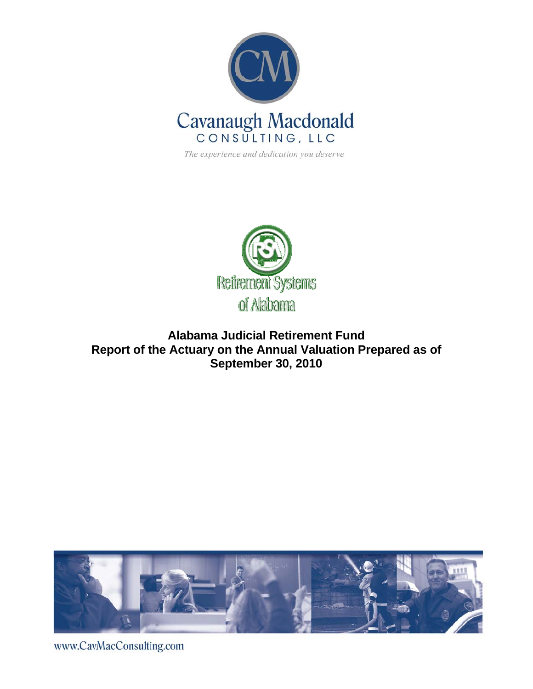

The experience and dedication you deserve



# **Alabama Judicial Retirement Fund Report of the Actuary on the Annual Valuation Prepared as of September 30, 2010**



www.CavMacConsulting.com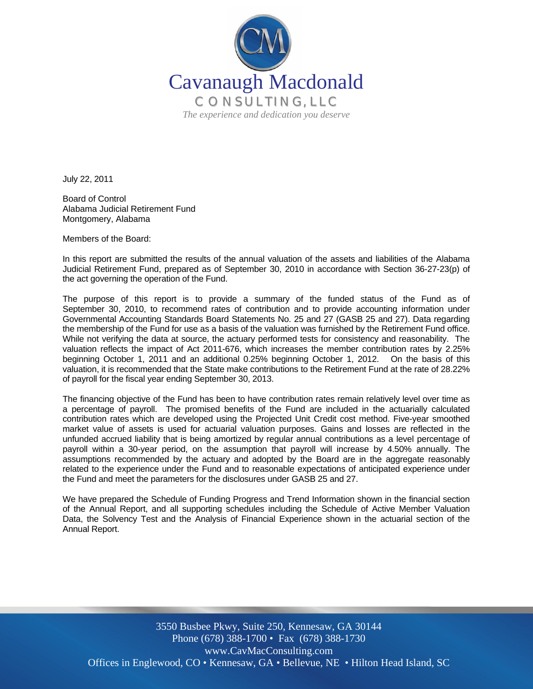

July 22, 2011

Board of Control Alabama Judicial Retirement Fund Montgomery, Alabama

Members of the Board:

In this report are submitted the results of the annual valuation of the assets and liabilities of the Alabama Judicial Retirement Fund, prepared as of September 30, 2010 in accordance with Section 36-27-23(p) of the act governing the operation of the Fund.

The purpose of this report is to provide a summary of the funded status of the Fund as of September 30, 2010, to recommend rates of contribution and to provide accounting information under Governmental Accounting Standards Board Statements No. 25 and 27 (GASB 25 and 27). Data regarding the membership of the Fund for use as a basis of the valuation was furnished by the Retirement Fund office. While not verifying the data at source, the actuary performed tests for consistency and reasonability. The valuation reflects the impact of Act 2011-676, which increases the member contribution rates by 2.25% beginning October 1, 2011 and an additional 0.25% beginning October 1, 2012. On the basis of this valuation, it is recommended that the State make contributions to the Retirement Fund at the rate of 28.22% of payroll for the fiscal year ending September 30, 2013.

The financing objective of the Fund has been to have contribution rates remain relatively level over time as a percentage of payroll. The promised benefits of the Fund are included in the actuarially calculated contribution rates which are developed using the Projected Unit Credit cost method. Five-year smoothed market value of assets is used for actuarial valuation purposes. Gains and losses are reflected in the unfunded accrued liability that is being amortized by regular annual contributions as a level percentage of payroll within a 30-year period, on the assumption that payroll will increase by 4.50% annually. The assumptions recommended by the actuary and adopted by the Board are in the aggregate reasonably related to the experience under the Fund and to reasonable expectations of anticipated experience under the Fund and meet the parameters for the disclosures under GASB 25 and 27.

We have prepared the Schedule of Funding Progress and Trend Information shown in the financial section of the Annual Report, and all supporting schedules including the Schedule of Active Member Valuation Data, the Solvency Test and the Analysis of Financial Experience shown in the actuarial section of the Annual Report.

Offices in Englewood, CO · Kennesaw, GA · Bellevue, NE · Hilton Head Island, SC 3550 Busbee Pkwy, Suite 250, Kennesaw, GA 30144 Phone (678) 388-1700 • Fax (678) 388-1730 www.CavMacConsulting.com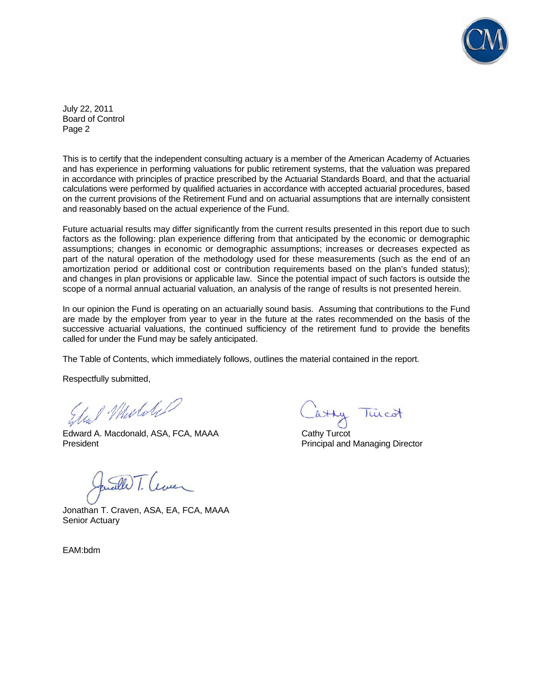

July 22, 2011 Board of Control Page 2

This is to certify that the independent consulting actuary is a member of the American Academy of Actuaries and has experience in performing valuations for public retirement systems, that the valuation was prepared in accordance with principles of practice prescribed by the Actuarial Standards Board, and that the actuarial calculations were performed by qualified actuaries in accordance with accepted actuarial procedures, based on the current provisions of the Retirement Fund and on actuarial assumptions that are internally consistent and reasonably based on the actual experience of the Fund.

Future actuarial results may differ significantly from the current results presented in this report due to such factors as the following: plan experience differing from that anticipated by the economic or demographic assumptions; changes in economic or demographic assumptions; increases or decreases expected as part of the natural operation of the methodology used for these measurements (such as the end of an amortization period or additional cost or contribution requirements based on the plan's funded status); and changes in plan provisions or applicable law. Since the potential impact of such factors is outside the scope of a normal annual actuarial valuation, an analysis of the range of results is not presented herein.

In our opinion the Fund is operating on an actuarially sound basis. Assuming that contributions to the Fund are made by the employer from year to year in the future at the rates recommended on the basis of the successive actuarial valuations, the continued sufficiency of the retirement fund to provide the benefits called for under the Fund may be safely anticipated.

The Table of Contents, which immediately follows, outlines the material contained in the report.

Respectfully submitted,

Edward A. Macdonald, ASA, FCA, MAAA Cathy Turcot

President Principal and Managing Director

well T. Cever

Jonathan T. Craven, ASA, EA, FCA, MAAA Senior Actuary

EAM:bdm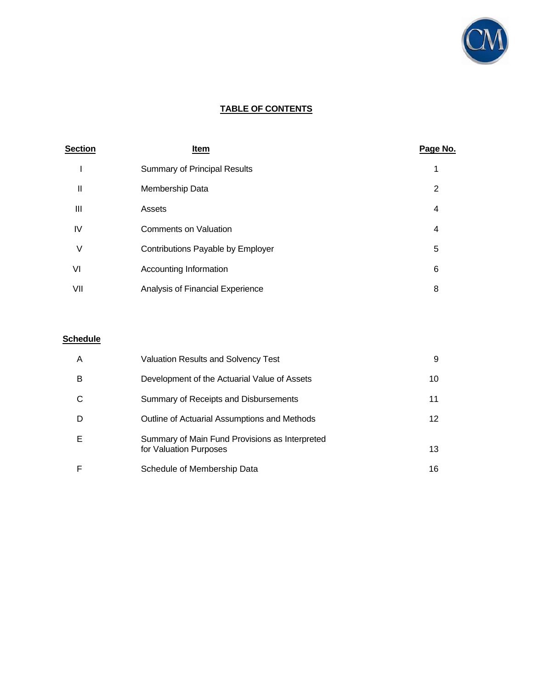

# **TABLE OF CONTENTS**

| <b>Section</b> | Item                                | Page No. |
|----------------|-------------------------------------|----------|
|                | <b>Summary of Principal Results</b> |          |
| Ш              | Membership Data                     | 2        |
| $\mathbf{III}$ | Assets                              | 4        |
| IV             | <b>Comments on Valuation</b>        | 4        |
| V              | Contributions Payable by Employer   | 5        |
| VI             | Accounting Information              | 6        |
| VII            | Analysis of Financial Experience    | 8        |

## **Schedule**

| A | <b>Valuation Results and Solvency Test</b>                               | 9               |
|---|--------------------------------------------------------------------------|-----------------|
| В | Development of the Actuarial Value of Assets                             | 10              |
|   | Summary of Receipts and Disbursements                                    | 11              |
| D | Outline of Actuarial Assumptions and Methods                             | 12 <sup>°</sup> |
| Е | Summary of Main Fund Provisions as Interpreted<br>for Valuation Purposes | 13              |
|   | Schedule of Membership Data                                              | 16              |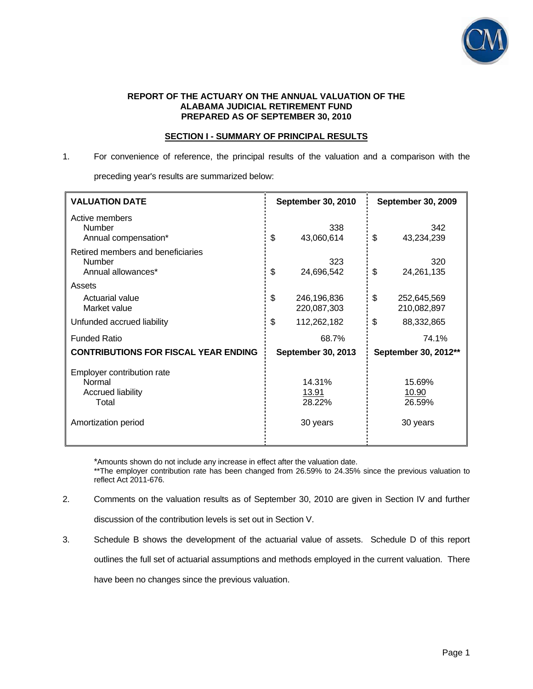

#### **REPORT OF THE ACTUARY ON THE ANNUAL VALUATION OF THE ALABAMA JUDICIAL RETIREMENT FUND PREPARED AS OF SEPTEMBER 30, 2010**

## **SECTION I - SUMMARY OF PRINCIPAL RESULTS**

1. For convenience of reference, the principal results of the valuation and a comparison with the

preceding year's results are summarized below:

| <b>VALUATION DATE</b>                                              | <b>September 30, 2010</b>        | <b>September 30, 2009</b>        |  |
|--------------------------------------------------------------------|----------------------------------|----------------------------------|--|
| Active members<br>Number<br>Annual compensation*                   | 338<br>\$<br>43,060,614          | 342<br>\$<br>43,234,239          |  |
| Retired members and beneficiaries<br>Number<br>Annual allowances*  | 323<br>\$<br>24,696,542          | 320<br>\$<br>24,261,135          |  |
| Assets<br>Actuarial value<br>Market value                          | \$<br>246,196,836<br>220,087,303 | \$<br>252,645,569<br>210,082,897 |  |
| Unfunded accrued liability                                         | \$<br>112,262,182                | \$<br>88,332,865                 |  |
| <b>Funded Ratio</b>                                                | 68.7%                            | 74.1%                            |  |
| <b>CONTRIBUTIONS FOR FISCAL YEAR ENDING</b>                        | <b>September 30, 2013</b>        | September 30, 2012**             |  |
| Employer contribution rate<br>Normal<br>Accrued liability<br>Total | 14.31%<br>13.91<br>28.22%        | 15.69%<br>10.90<br>26.59%        |  |
| Amortization period                                                | 30 years                         | 30 years                         |  |

\*Amounts shown do not include any increase in effect after the valuation date.

\*\*The employer contribution rate has been changed from 26.59% to 24.35% since the previous valuation to reflect Act 2011-676.

2. Comments on the valuation results as of September 30, 2010 are given in Section IV and further

discussion of the contribution levels is set out in Section V.

3. Schedule B shows the development of the actuarial value of assets. Schedule D of this report

outlines the full set of actuarial assumptions and methods employed in the current valuation. There

have been no changes since the previous valuation.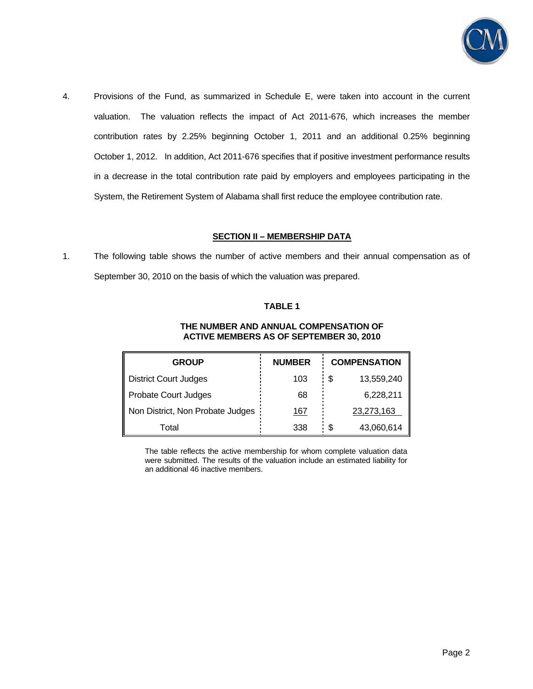

4. Provisions of the Fund, as summarized in Schedule E, were taken into account in the current valuation. The valuation reflects the impact of Act 2011-676, which increases the member contribution rates by 2.25% beginning October 1, 2011 and an additional 0.25% beginning October 1, 2012. In addition, Act 2011-676 specifies that if positive investment performance results in a decrease in the total contribution rate paid by employers and employees participating in the System, the Retirement System of Alabama shall first reduce the employee contribution rate.

## **SECTION II – MEMBERSHIP DATA**

1. The following table shows the number of active members and their annual compensation as of September 30, 2010 on the basis of which the valuation was prepared.

## **TABLE 1**

#### **THE NUMBER AND ANNUAL COMPENSATION OF ACTIVE MEMBERS AS OF SEPTEMBER 30, 2010**

| <b>GROUP</b>                     | <b>NUMBER</b> | <b>COMPENSATION</b> |            |
|----------------------------------|---------------|---------------------|------------|
| <b>District Court Judges</b>     | 103           | \$                  | 13,559,240 |
| Probate Court Judges             | 68            | 6,228,211           |            |
| Non District, Non Probate Judges | 167           | 23,273,163          |            |
| Total                            | 338           | S                   | 43,060,614 |

 The table reflects the active membership for whom complete valuation data were submitted. The results of the valuation include an estimated liability for an additional 46 inactive members.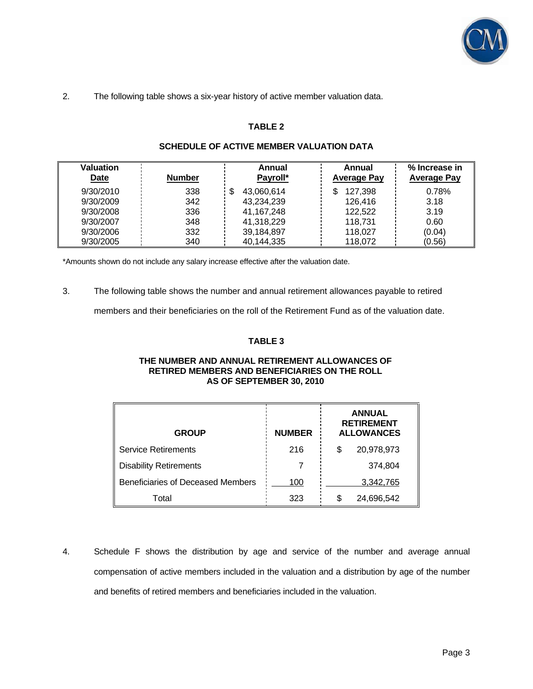

# 2. The following table shows a six-year history of active member valuation data.

## **TABLE 2**

| Valuation<br><b>Date</b> | <b>Number</b> | Annual<br>Payroll* | Annual<br><b>Average Pay</b> | % Increase in<br><b>Average Pay</b> |
|--------------------------|---------------|--------------------|------------------------------|-------------------------------------|
| 9/30/2010                | 338           | 43,060,614<br>S    | 127,398                      | 0.78%                               |
| 9/30/2009                | 342           | 43,234,239         | 126,416                      | 3.18                                |
| 9/30/2008                | 336           | 41, 167, 248       | 122,522                      | 3.19                                |
| 9/30/2007                | 348           | 41,318,229         | 118,731                      | 0.60                                |
| 9/30/2006                | 332           | 39,184,897         | 118,027                      | (0.04)                              |
| 9/30/2005                | 340           | 40,144,335         | 118.072                      | (0.56)                              |

## **SCHEDULE OF ACTIVE MEMBER VALUATION DATA**

\*Amounts shown do not include any salary increase effective after the valuation date.

3. The following table shows the number and annual retirement allowances payable to retired

members and their beneficiaries on the roll of the Retirement Fund as of the valuation date.

## **TABLE 3**

#### **THE NUMBER AND ANNUAL RETIREMENT ALLOWANCES OF RETIRED MEMBERS AND BENEFICIARIES ON THE ROLL AS OF SEPTEMBER 30, 2010**

| <b>GROUP</b>                      | <b>NUMBER</b> | <b>ANNUAL</b><br><b>RETIREMENT</b><br><b>ALLOWANCES</b> |
|-----------------------------------|---------------|---------------------------------------------------------|
| <b>Service Retirements</b>        | 216           | 20,978,973<br>S                                         |
| <b>Disability Retirements</b>     |               | 374,804                                                 |
| Beneficiaries of Deceased Members | 100           | 3,342,765                                               |
| Total                             | 323           | 24,696,542<br>S                                         |

4. Schedule F shows the distribution by age and service of the number and average annual compensation of active members included in the valuation and a distribution by age of the number and benefits of retired members and beneficiaries included in the valuation.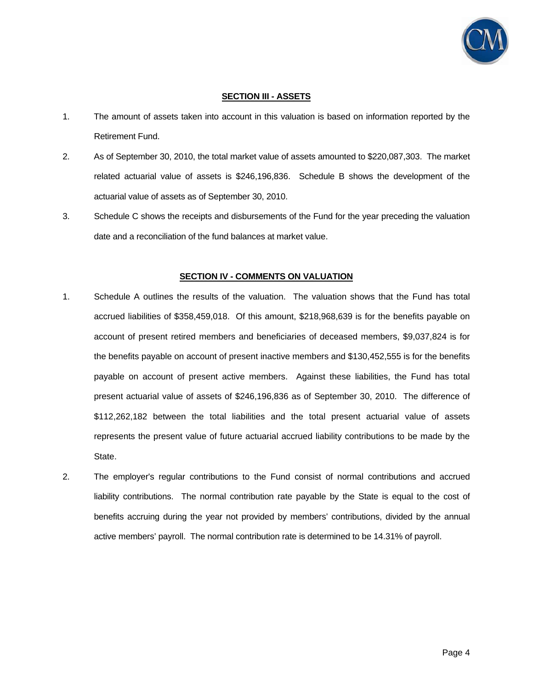

## **SECTION III - ASSETS**

- 1. The amount of assets taken into account in this valuation is based on information reported by the Retirement Fund.
- 2. As of September 30, 2010, the total market value of assets amounted to \$220,087,303. The market related actuarial value of assets is \$246,196,836. Schedule B shows the development of the actuarial value of assets as of September 30, 2010.
- 3. Schedule C shows the receipts and disbursements of the Fund for the year preceding the valuation date and a reconciliation of the fund balances at market value.

## **SECTION IV - COMMENTS ON VALUATION**

- 1. Schedule A outlines the results of the valuation. The valuation shows that the Fund has total accrued liabilities of \$358,459,018. Of this amount, \$218,968,639 is for the benefits payable on account of present retired members and beneficiaries of deceased members, \$9,037,824 is for the benefits payable on account of present inactive members and \$130,452,555 is for the benefits payable on account of present active members. Against these liabilities, the Fund has total present actuarial value of assets of \$246,196,836 as of September 30, 2010. The difference of \$112,262,182 between the total liabilities and the total present actuarial value of assets represents the present value of future actuarial accrued liability contributions to be made by the State.
- 2. The employer's regular contributions to the Fund consist of normal contributions and accrued liability contributions. The normal contribution rate payable by the State is equal to the cost of benefits accruing during the year not provided by members' contributions, divided by the annual active members' payroll. The normal contribution rate is determined to be 14.31% of payroll.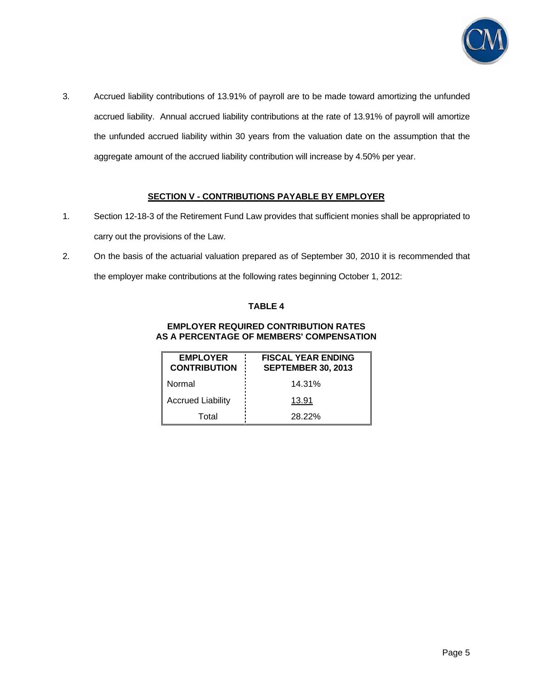

3. Accrued liability contributions of 13.91% of payroll are to be made toward amortizing the unfunded accrued liability. Annual accrued liability contributions at the rate of 13.91% of payroll will amortize the unfunded accrued liability within 30 years from the valuation date on the assumption that the aggregate amount of the accrued liability contribution will increase by 4.50% per year.

# **SECTION V - CONTRIBUTIONS PAYABLE BY EMPLOYER**

- 1. Section 12-18-3 of the Retirement Fund Law provides that sufficient monies shall be appropriated to carry out the provisions of the Law.
- 2. On the basis of the actuarial valuation prepared as of September 30, 2010 it is recommended that the employer make contributions at the following rates beginning October 1, 2012:

# **TABLE 4**

#### **EMPLOYER REQUIRED CONTRIBUTION RATES AS A PERCENTAGE OF MEMBERS' COMPENSATION**

| <b>EMPLOYER</b><br><b>CONTRIBUTION</b> | <b>FISCAL YEAR ENDING</b><br><b>SEPTEMBER 30, 2013</b> |
|----------------------------------------|--------------------------------------------------------|
| Normal                                 | 14.31%                                                 |
| <b>Accrued Liability</b>               | 13.91                                                  |
| Total                                  | 28.22%                                                 |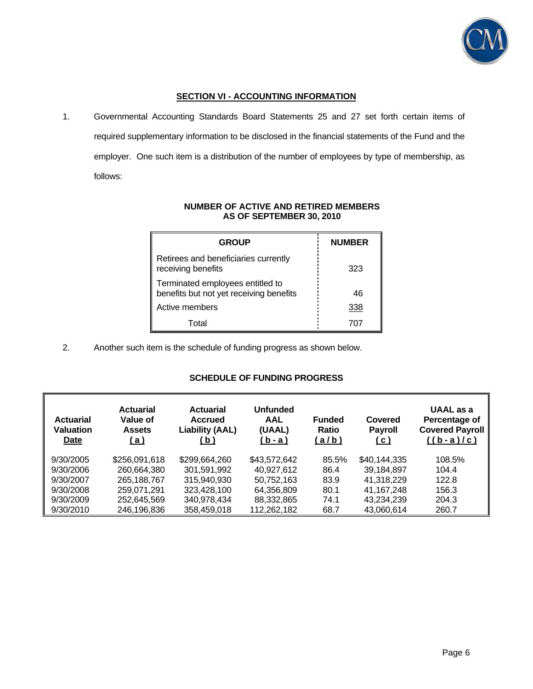

# **SECTION VI - ACCOUNTING INFORMATION**

1. Governmental Accounting Standards Board Statements 25 and 27 set forth certain items of required supplementary information to be disclosed in the financial statements of the Fund and the employer. One such item is a distribution of the number of employees by type of membership, as follows:

| <b>GROUP</b>                                                                | <b>NUMBER</b> |
|-----------------------------------------------------------------------------|---------------|
| Retirees and beneficiaries currently<br>receiving benefits                  | 323           |
| Terminated employees entitled to<br>benefits but not yet receiving benefits | 46            |
| Active members                                                              | 338           |
| Total                                                                       |               |

## **NUMBER OF ACTIVE AND RETIRED MEMBERS AS OF SEPTEMBER 30, 2010**

2. Another such item is the schedule of funding progress as shown below.

# **SCHEDULE OF FUNDING PROGRESS**

| <b>Actuarial</b><br><b>Valuation</b><br><u>Date</u> | <b>Actuarial</b><br>Value of<br><b>Assets</b><br><u>a )</u> | <b>Actuarial</b><br><b>Accrued</b><br><b>Liability (AAL)</b><br><u>(b)</u> | Unfunded<br>AAL<br>(UAAL)<br><u>b - a )</u> | <b>Funded</b><br><b>Ratio</b><br>(a/b) | Covered<br><b>Payroll</b><br><u>(c)</u> | UAAL as a<br>Percentage of<br><b>Covered Payroll</b><br>$((b-a)/c)$ |
|-----------------------------------------------------|-------------------------------------------------------------|----------------------------------------------------------------------------|---------------------------------------------|----------------------------------------|-----------------------------------------|---------------------------------------------------------------------|
| 9/30/2005                                           | \$256,091,618                                               | \$299,664,260                                                              | \$43,572,642                                | 85.5%                                  | \$40,144,335                            | 108.5%                                                              |
| 9/30/2006                                           | 260,664,380                                                 | 301.591.992                                                                | 40.927.612                                  | 86.4                                   | 39,184,897                              | 104.4                                                               |
| 9/30/2007                                           | 265,188,767                                                 | 315,940,930                                                                | 50,752,163                                  | 83.9                                   | 41,318,229                              | 122.8                                                               |
| 9/30/2008                                           | 259,071,291                                                 | 323,428,100                                                                | 64,356,809                                  | 80.1                                   | 41, 167, 248                            | 156.3                                                               |
| 9/30/2009                                           | 252,645,569                                                 | 340,978,434                                                                | 88,332,865                                  | 74.1                                   | 43,234,239                              | 204.3                                                               |
| 9/30/2010                                           | 246,196,836                                                 | 358,459,018                                                                | 112,262,182                                 | 68.7                                   | 43,060,614                              | 260.7                                                               |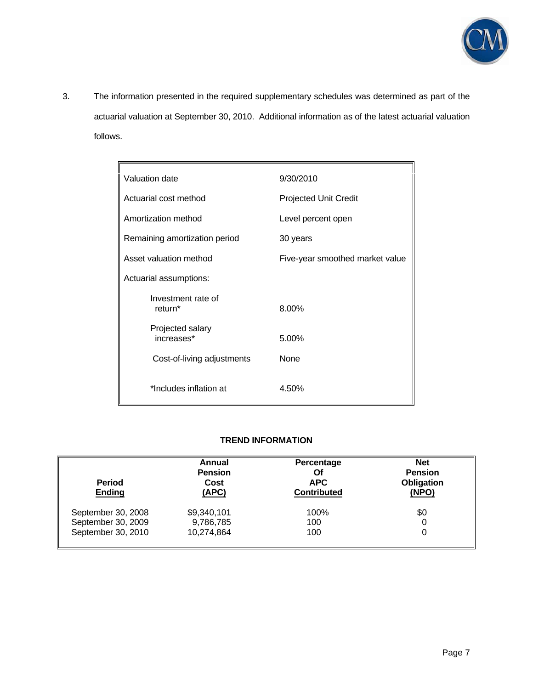

3. The information presented in the required supplementary schedules was determined as part of the actuarial valuation at September 30, 2010. Additional information as of the latest actuarial valuation follows.

 $\mathbf{r}$ 

| Valuation date                            | 9/30/2010                       |
|-------------------------------------------|---------------------------------|
| Actuarial cost method                     | <b>Projected Unit Credit</b>    |
| Amortization method                       | Level percent open              |
| Remaining amortization period             | 30 years                        |
| Asset valuation method                    | Five-year smoothed market value |
| Actuarial assumptions:                    |                                 |
| Investment rate of<br>return <sup>*</sup> | 8.00%                           |
| Projected salary<br>increases*            | 5.00%                           |
| Cost-of-living adjustments                | None                            |
| *Includes inflation at                    | 4.50%                           |

# **TREND INFORMATION**

| <b>Period</b><br><b>Ending</b> | Annual<br><b>Pension</b><br>Cost<br>(APC) | Percentage<br>Of<br><b>APC</b><br><b>Contributed</b> | <b>Net</b><br><b>Pension</b><br>Obligation<br>(NPO) |
|--------------------------------|-------------------------------------------|------------------------------------------------------|-----------------------------------------------------|
| September 30, 2008             | \$9,340,101                               | 100%                                                 | \$0                                                 |
| September 30, 2009             | 9,786,785                                 | 100                                                  | 0                                                   |
| September 30, 2010             | 10,274,864                                | 100                                                  | 0                                                   |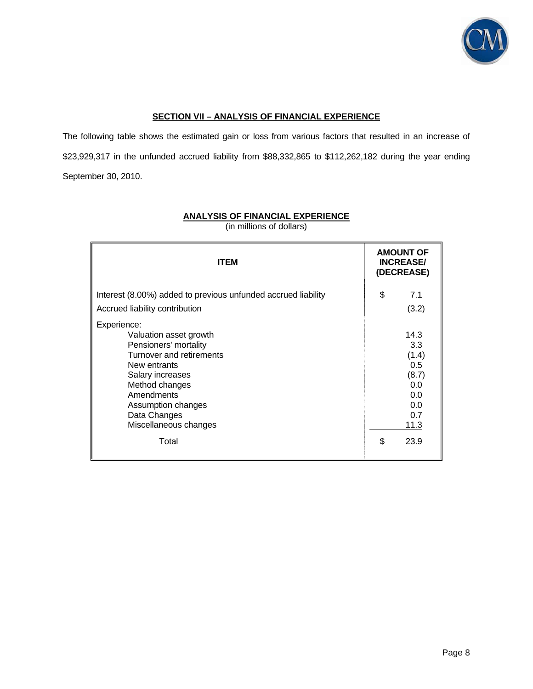

# **SECTION VII – ANALYSIS OF FINANCIAL EXPERIENCE**

The following table shows the estimated gain or loss from various factors that resulted in an increase of \$23,929,317 in the unfunded accrued liability from \$88,332,865 to \$112,262,182 during the year ending September 30, 2010.

| <b>ITEM</b>                                                                                                                                                                                                                   |    | <b>AMOUNT OF</b><br><b>INCREASE/</b><br>(DECREASE)                       |  |
|-------------------------------------------------------------------------------------------------------------------------------------------------------------------------------------------------------------------------------|----|--------------------------------------------------------------------------|--|
| Interest (8.00%) added to previous unfunded accrued liability<br>Accrued liability contribution                                                                                                                               | \$ | 7.1<br>(3.2)                                                             |  |
| Experience:<br>Valuation asset growth<br>Pensioners' mortality<br>Turnover and retirements<br>New entrants<br>Salary increases<br>Method changes<br>Amendments<br>Assumption changes<br>Data Changes<br>Miscellaneous changes |    | 14.3<br>3.3<br>(1.4)<br>0.5<br>(8.7)<br>0.0<br>0.0<br>0.0<br>0.7<br>11.3 |  |
| Total                                                                                                                                                                                                                         | \$ | 23.9                                                                     |  |

# **ANALYSIS OF FINANCIAL EXPERIENCE**

(in millions of dollars)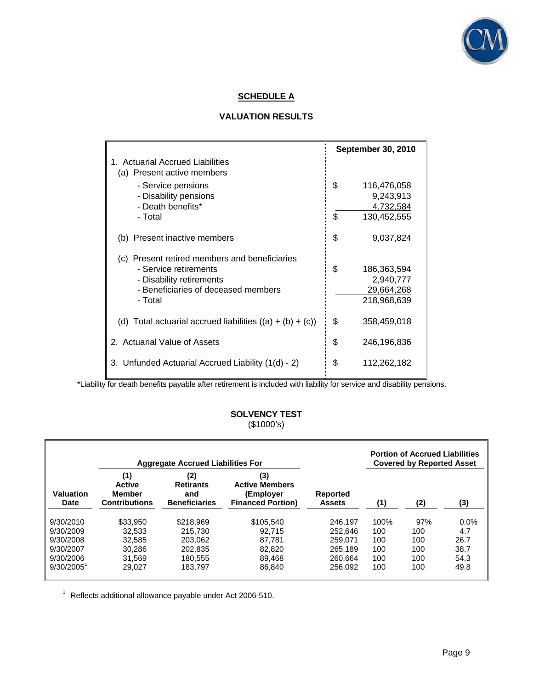

# **SCHEDULE A**

# **VALUATION RESULTS**

|                                                             | <b>September 30, 2010</b> |
|-------------------------------------------------------------|---------------------------|
| 1. Actuarial Accrued Liabilities                            |                           |
| (a) Present active members                                  |                           |
| - Service pensions                                          | \$<br>116,476,058         |
| - Disability pensions                                       | 9,243,913                 |
| - Death benefits*                                           | 4,732,584                 |
| - Total                                                     | \$<br>130,452,555         |
| (b) Present inactive members                                | \$<br>9,037,824           |
| (c) Present retired members and beneficiaries               |                           |
| - Service retirements                                       | \$<br>186,363,594         |
| - Disability retirements                                    | 2,940,777                 |
| - Beneficiaries of deceased members                         | 29,664,268                |
| - Total                                                     | 218,968,639               |
| (d) Total actuarial accrued liabilities $((a) + (b) + (c))$ | \$<br>358,459,018         |
| 2. Actuarial Value of Assets                                | \$<br>246,196,836         |
| 3. Unfunded Actuarial Accrued Liability (1(d) - 2)          | \$<br>112,262,182         |

\*Liability for death benefits payable after retirement is included with liability for service and disability pensions.

# **SOLVENCY TEST**  (\$1000's)

|                   | <b>Portion of Accrued Liabilities</b><br><b>Aggregate Accrued Liabilities For</b><br><b>Covered by Reported Asset</b> |                                                        |                                                                       |                                  |      |     |         |
|-------------------|-----------------------------------------------------------------------------------------------------------------------|--------------------------------------------------------|-----------------------------------------------------------------------|----------------------------------|------|-----|---------|
| Valuation<br>Date | (1)<br><b>Active</b><br><b>Member</b><br><b>Contributions</b>                                                         | (2)<br><b>Retirants</b><br>and<br><b>Beneficiaries</b> | (3)<br><b>Active Members</b><br>(Employer<br><b>Financed Portion)</b> | <b>Reported</b><br><b>Assets</b> | (1)  | (2) | (3)     |
| 9/30/2010         | \$33,950                                                                                                              | \$218,969                                              | \$105.540                                                             | 246.197                          | 100% | 97% | $0.0\%$ |
| 9/30/2009         | 32.533                                                                                                                | 215,730                                                | 92.715                                                                | 252.646                          | 100  | 100 | 4.7     |
| 9/30/2008         | 32.585                                                                                                                | 203.062                                                | 87.781                                                                | 259.071                          | 100  | 100 | 26.7    |
| 9/30/2007         | 30.286                                                                                                                | 202.835                                                | 82,820                                                                | 265.189                          | 100  | 100 | 38.7    |
| 9/30/2006         | 31.569                                                                                                                | 180.555                                                | 89,468                                                                | 260.664                          | 100  | 100 | 54.3    |
| $9/30/2005^1$     | 29.027                                                                                                                | 183.797                                                | 86.840                                                                | 256.092                          | 100  | 100 | 49.8    |

 $^1$  Reflects additional allowance payable under Act 2006-510.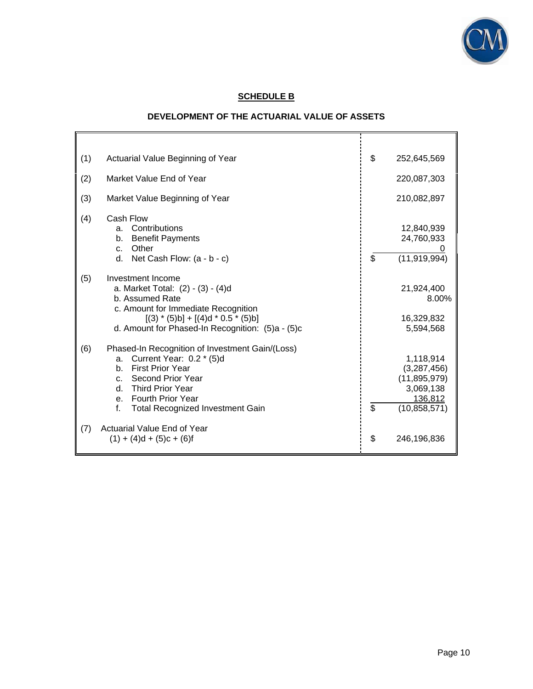

# **SCHEDULE B**

# **DEVELOPMENT OF THE ACTUARIAL VALUE OF ASSETS**

F

| (1) | Actuarial Value Beginning of Year                                                                                                                                                                                                | \$<br>252,645,569                                                                          |
|-----|----------------------------------------------------------------------------------------------------------------------------------------------------------------------------------------------------------------------------------|--------------------------------------------------------------------------------------------|
| (2) | Market Value End of Year                                                                                                                                                                                                         | 220,087,303                                                                                |
| (3) | Market Value Beginning of Year                                                                                                                                                                                                   | 210,082,897                                                                                |
| (4) | Cash Flow<br>a. Contributions<br><b>Benefit Payments</b><br>b.<br>Other<br>C <sub>1</sub><br>d. Net Cash Flow: $(a - b - c)$                                                                                                     | \$<br>12,840,939<br>24,760,933<br>(11, 919, 994)                                           |
| (5) | Investment Income<br>a. Market Total: (2) - (3) - (4)d<br>b. Assumed Rate<br>c. Amount for Immediate Recognition<br>$[(3) * (5)b] + [(4)d * 0.5 * (5)b]$<br>d. Amount for Phased-In Recognition: (5)a - (5)c                     | 21,924,400<br>8.00%<br>16,329,832<br>5,594,568                                             |
| (6) | Phased-In Recognition of Investment Gain/(Loss)<br>Current Year: 0.2 * (5)d<br>a.<br>b. First Prior Year<br>c. Second Prior Year<br>d. Third Prior Year<br>e. Fourth Prior Year<br>f.<br><b>Total Recognized Investment Gain</b> | \$<br>1,118,914<br>(3,287,456)<br>(11, 895, 979)<br>3,069,138<br>136,812<br>(10, 858, 571) |
| (7) | Actuarial Value End of Year<br>$(1) + (4)d + (5)c + (6)f$                                                                                                                                                                        | \$<br>246,196,836                                                                          |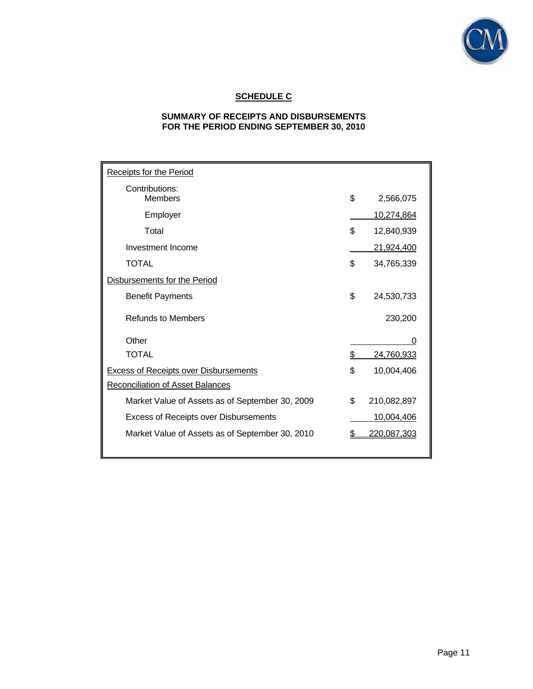

# **SCHEDULE C**

# **SUMMARY OF RECEIPTS AND DISBURSEMENTS FOR THE PERIOD ENDING SEPTEMBER 30, 2010**

| <b>Receipts for the Period</b>                  |    |                    |
|-------------------------------------------------|----|--------------------|
| Contributions:<br><b>Members</b>                | \$ | 2,566,075          |
| Employer                                        |    | 10,274,864         |
| Total                                           | \$ | 12,840,939         |
| Investment Income                               |    | 21,924,400         |
| <b>TOTAL</b>                                    | \$ | 34,765,339         |
| Disbursements for the Period                    |    |                    |
| <b>Benefit Payments</b>                         | \$ | 24,530,733         |
| <b>Refunds to Members</b>                       |    | 230,200            |
| Other                                           |    | O                  |
| <b>TOTAL</b>                                    | \$ | 24,760,933         |
| <b>Excess of Receipts over Disbursements</b>    | \$ | 10,004,406         |
| <b>Reconciliation of Asset Balances</b>         |    |                    |
| Market Value of Assets as of September 30, 2009 | \$ | 210,082,897        |
| <b>Excess of Receipts over Disbursements</b>    |    | 10,004,406         |
| Market Value of Assets as of September 30, 2010 | S  | <u>220,087,303</u> |
|                                                 |    |                    |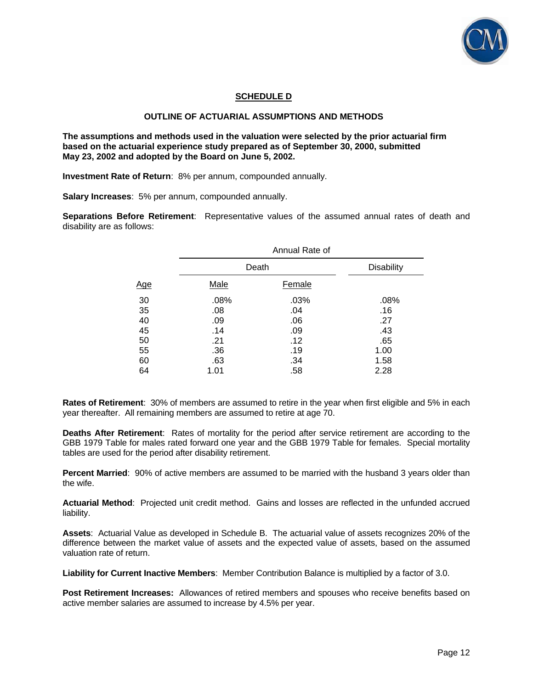

## **SCHEDULE D**

## **OUTLINE OF ACTUARIAL ASSUMPTIONS AND METHODS**

**The assumptions and methods used in the valuation were selected by the prior actuarial firm based on the actuarial experience study prepared as of September 30, 2000, submitted May 23, 2002 and adopted by the Board on June 5, 2002.** 

**Investment Rate of Return**: 8% per annum, compounded annually.

**Salary Increases**: 5% per annum, compounded annually.

**Separations Before Retirement**: Representative values of the assumed annual rates of death and disability are as follows:

| Annual Rate of |               |                   |  |  |
|----------------|---------------|-------------------|--|--|
|                |               | <b>Disability</b> |  |  |
| <b>Male</b>    | <b>Female</b> |                   |  |  |
| .08%           | .03%          | .08%              |  |  |
| .08            | .04           | .16               |  |  |
| .09            | .06           | .27               |  |  |
| .14            | .09           | .43               |  |  |
| .21            | .12           | .65               |  |  |
| .36            | .19           | 1.00              |  |  |
| .63            | .34           | 1.58              |  |  |
| 1.01           | .58           | 2.28              |  |  |
|                |               | Death             |  |  |

**Rates of Retirement**: 30% of members are assumed to retire in the year when first eligible and 5% in each year thereafter. All remaining members are assumed to retire at age 70.

**Deaths After Retirement**: Rates of mortality for the period after service retirement are according to the GBB 1979 Table for males rated forward one year and the GBB 1979 Table for females. Special mortality tables are used for the period after disability retirement.

**Percent Married**: 90% of active members are assumed to be married with the husband 3 years older than the wife.

**Actuarial Method**: Projected unit credit method. Gains and losses are reflected in the unfunded accrued liability.

**Assets**: Actuarial Value as developed in Schedule B. The actuarial value of assets recognizes 20% of the difference between the market value of assets and the expected value of assets, based on the assumed valuation rate of return.

**Liability for Current Inactive Members**: Member Contribution Balance is multiplied by a factor of 3.0.

**Post Retirement Increases:** Allowances of retired members and spouses who receive benefits based on active member salaries are assumed to increase by 4.5% per year.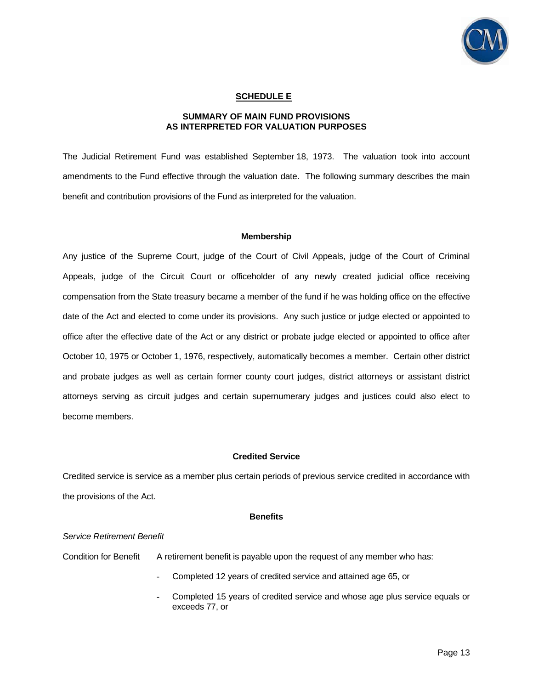

## **SCHEDULE E**

## **SUMMARY OF MAIN FUND PROVISIONS AS INTERPRETED FOR VALUATION PURPOSES**

The Judicial Retirement Fund was established September 18, 1973. The valuation took into account amendments to the Fund effective through the valuation date. The following summary describes the main benefit and contribution provisions of the Fund as interpreted for the valuation.

#### **Membership**

Any justice of the Supreme Court, judge of the Court of Civil Appeals, judge of the Court of Criminal Appeals, judge of the Circuit Court or officeholder of any newly created judicial office receiving compensation from the State treasury became a member of the fund if he was holding office on the effective date of the Act and elected to come under its provisions. Any such justice or judge elected or appointed to office after the effective date of the Act or any district or probate judge elected or appointed to office after October 10, 1975 or October 1, 1976, respectively, automatically becomes a member. Certain other district and probate judges as well as certain former county court judges, district attorneys or assistant district attorneys serving as circuit judges and certain supernumerary judges and justices could also elect to become members.

#### **Credited Service**

Credited service is service as a member plus certain periods of previous service credited in accordance with the provisions of the Act.

#### **Benefits**

#### *Service Retirement Benefit*

Condition for Benefit A retirement benefit is payable upon the request of any member who has:

- Completed 12 years of credited service and attained age 65, or
- Completed 15 years of credited service and whose age plus service equals or exceeds 77, or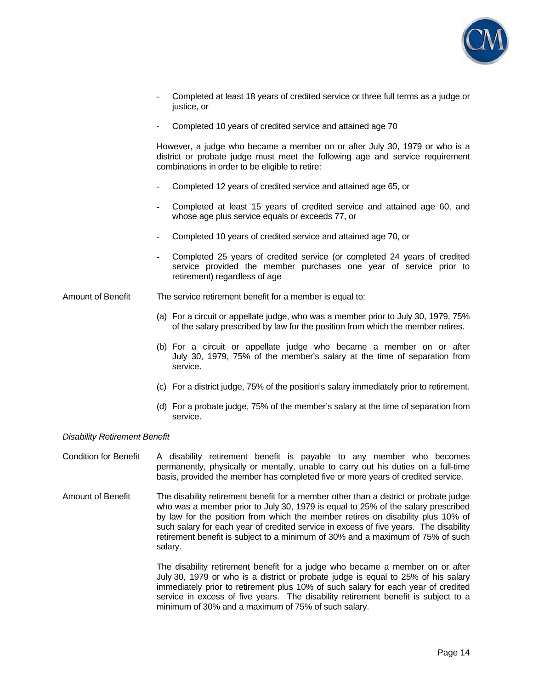

- Completed at least 18 years of credited service or three full terms as a judge or justice, or
- Completed 10 years of credited service and attained age 70

However, a judge who became a member on or after July 30, 1979 or who is a district or probate judge must meet the following age and service requirement combinations in order to be eligible to retire:

- Completed 12 years of credited service and attained age 65, or
- Completed at least 15 years of credited service and attained age 60, and whose age plus service equals or exceeds 77, or
- Completed 10 years of credited service and attained age 70, or
- Completed 25 years of credited service (or completed 24 years of credited service provided the member purchases one year of service prior to retirement) regardless of age

Amount of Benefit The service retirement benefit for a member is equal to:

- (a) For a circuit or appellate judge, who was a member prior to July 30, 1979, 75% of the salary prescribed by law for the position from which the member retires.
- (b) For a circuit or appellate judge who became a member on or after July 30, 1979, 75% of the member's salary at the time of separation from service.
- (c) For a district judge, 75% of the position's salary immediately prior to retirement.
- (d) For a probate judge, 75% of the member's salary at the time of separation from service.

#### *Disability Retirement Benefit*

Condition for Benefit A disability retirement benefit is payable to any member who becomes permanently, physically or mentally, unable to carry out his duties on a full-time basis, provided the member has completed five or more years of credited service.

Amount of Benefit The disability retirement benefit for a member other than a district or probate judge who was a member prior to July 30, 1979 is equal to 25% of the salary prescribed by law for the position from which the member retires on disability plus 10% of such salary for each year of credited service in excess of five years. The disability retirement benefit is subject to a minimum of 30% and a maximum of 75% of such salary.

> The disability retirement benefit for a judge who became a member on or after July 30, 1979 or who is a district or probate judge is equal to 25% of his salary immediately prior to retirement plus 10% of such salary for each year of credited service in excess of five years. The disability retirement benefit is subject to a minimum of 30% and a maximum of 75% of such salary.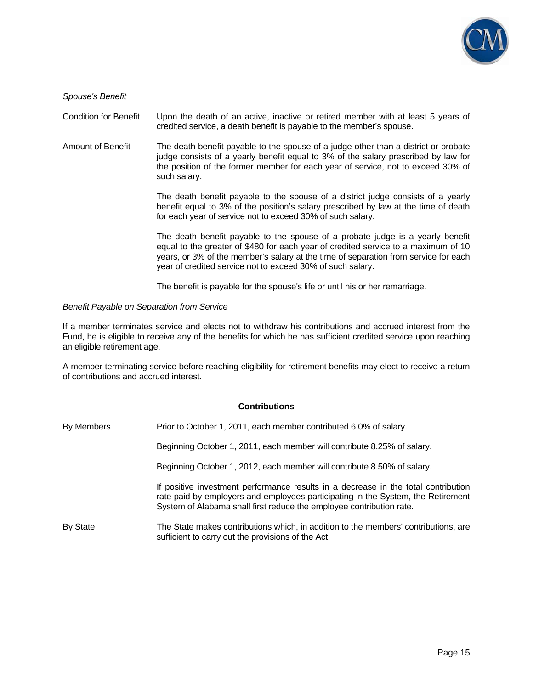

*Spouse's Benefit* 

Condition for Benefit Upon the death of an active, inactive or retired member with at least 5 years of credited service, a death benefit is payable to the member's spouse.

Amount of Benefit The death benefit payable to the spouse of a judge other than a district or probate judge consists of a yearly benefit equal to 3% of the salary prescribed by law for the position of the former member for each year of service, not to exceed 30% of such salary.

> The death benefit payable to the spouse of a district judge consists of a yearly benefit equal to 3% of the position's salary prescribed by law at the time of death for each year of service not to exceed 30% of such salary.

> The death benefit payable to the spouse of a probate judge is a yearly benefit equal to the greater of \$480 for each year of credited service to a maximum of 10 years, or 3% of the member's salary at the time of separation from service for each year of credited service not to exceed 30% of such salary.

The benefit is payable for the spouse's life or until his or her remarriage.

#### *Benefit Payable on Separation from Service*

If a member terminates service and elects not to withdraw his contributions and accrued interest from the Fund, he is eligible to receive any of the benefits for which he has sufficient credited service upon reaching an eligible retirement age.

A member terminating service before reaching eligibility for retirement benefits may elect to receive a return of contributions and accrued interest.

#### **Contributions**

| By Members | Prior to October 1, 2011, each member contributed 6.0% of salary.                                                                                                                                                                              |
|------------|------------------------------------------------------------------------------------------------------------------------------------------------------------------------------------------------------------------------------------------------|
|            | Beginning October 1, 2011, each member will contribute 8.25% of salary.                                                                                                                                                                        |
|            | Beginning October 1, 2012, each member will contribute 8.50% of salary.                                                                                                                                                                        |
|            | If positive investment performance results in a decrease in the total contribution<br>rate paid by employers and employees participating in the System, the Retirement<br>System of Alabama shall first reduce the employee contribution rate. |
| By State   | The State makes contributions which, in addition to the members' contributions, are<br>sufficient to carry out the provisions of the Act.                                                                                                      |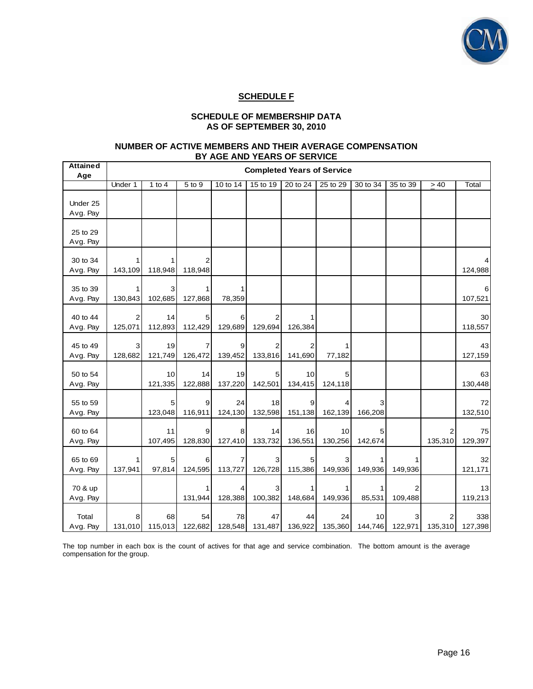

# **SCHEDULE F**

## **SCHEDULE OF MEMBERSHIP DATA AS OF SEPTEMBER 30, 2010**

#### **NUMBER OF ACTIVE MEMBERS AND THEIR AVERAGE COMPENSATION BY AGE AND YEARS OF SERVICE**

| <b>Attained</b><br>Age | <b>Completed Years of Service</b> |               |               |               |               |               |               |               |          |              |                |
|------------------------|-----------------------------------|---------------|---------------|---------------|---------------|---------------|---------------|---------------|----------|--------------|----------------|
|                        | Under 1                           | 1 to $4$      | 5 to 9        | 10 to 14      | 15 to 19      | 20 to 24      | 25 to 29      | 30 to 34      | 35 to 39 | > 40         | Total          |
| Under 25<br>Avg. Pay   |                                   |               |               |               |               |               |               |               |          |              |                |
| 25 to 29<br>Avg. Pay   |                                   |               |               |               |               |               |               |               |          |              |                |
| 30 to 34<br>Avg. Pay   | 143,109                           | 118,948       | 2<br>118,948  |               |               |               |               |               |          |              | 124,988        |
| 35 to 39<br>Avg. Pay   | 130,843                           | 3<br>102,685  | 127,868       | 1<br>78,359   |               |               |               |               |          |              | 107,521        |
| 40 to 44<br>Avg. Pay   | 2<br>125,071                      | 14<br>112,893 | 5<br>112,429  | 6<br>129,689  | 129,694       | 126,384       |               |               |          |              | 30<br>118,557  |
| 45 to 49<br>Avg. Pay   | 3<br>128,682                      | 19<br>121,749 | 126,472       | 9<br>139,452  | 2<br>133,816  | 2<br>141,690  | 77,182        |               |          |              | 43<br>127,159  |
| 50 to 54<br>Avg. Pay   |                                   | 10<br>121,335 | 14<br>122,888 | 19<br>137,220 | 5<br>142,501  | 10<br>134,415 | 5<br>124,118  |               |          |              | 63<br>130,448  |
| 55 to 59<br>Avg. Pay   |                                   | 5<br>123,048  | 9<br>116,911  | 24<br>124,130 | 18<br>132,598 | 9<br>151,138  | 162,139       | 166,208       |          |              | 72<br>132,510  |
| 60 to 64<br>Avg. Pay   |                                   | 11<br>107,495 | 9<br>128,830  | 8<br>127,410  | 14<br>133,732 | 16<br>136,551 | 10<br>130,256 | 5<br>142,674  |          | 2<br>135,310 | 75<br>129,397  |
| 65 to 69<br>Avg. Pay   | 137,941                           | 5<br>97,814   | 6<br>124,595  | 7<br>113,727  | 3<br>126,728  | 5<br>115,386  | 3<br>149,936  | 149,936       | 149,936  |              | 32<br>121,171  |
| 70 & up<br>Avg. Pay    |                                   |               | 131,944       | 128,388       | 3<br>100,382  | 148,684       | 1<br>149,936  | 1<br>85,531   | 109,488  |              | 13<br>119,213  |
| Total<br>Avg. Pay      | 8<br>131,010                      | 68<br>115,013 | 54<br>122,682 | 78<br>128,548 | 47<br>131,487 | 44<br>136,922 | 24<br>135,360 | 10<br>144,746 | 122,971  | 135,310      | 338<br>127,398 |

The top number in each box is the count of actives for that age and service combination. The bottom amount is the average compensation for the group.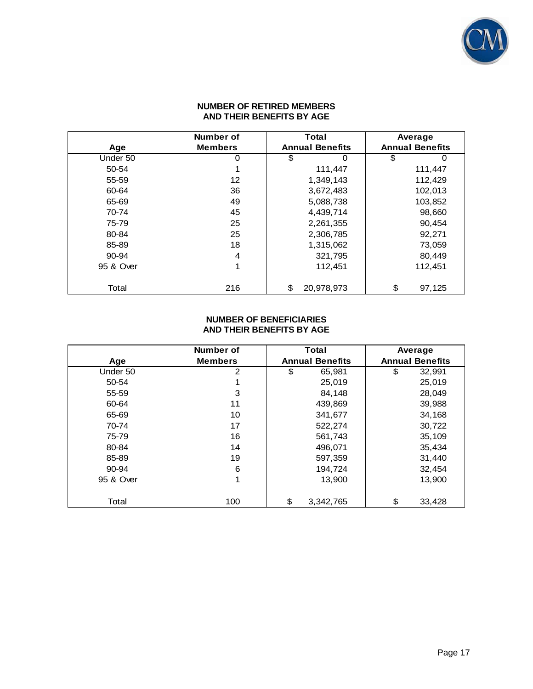

### **NUMBER OF RETIRED MEMBERS AND THEIR BENEFITS BY AGE**

|           | Number of      | <b>Total</b>           | Average                |
|-----------|----------------|------------------------|------------------------|
| Age       | <b>Members</b> | <b>Annual Benefits</b> | <b>Annual Benefits</b> |
| Under 50  | 0              | \$<br>0                | \$                     |
| 50-54     |                | 111,447                | 111,447                |
| 55-59     | 12             | 1,349,143              | 112,429                |
| 60-64     | 36             | 3,672,483              | 102,013                |
| 65-69     | 49             | 5,088,738              | 103,852                |
| 70-74     | 45             | 4,439,714              | 98,660                 |
| 75-79     | 25             | 2,261,355              | 90,454                 |
| 80-84     | 25             | 2,306,785              | 92,271                 |
| 85-89     | 18             | 1,315,062              | 73,059                 |
| 90-94     | 4              | 321,795                | 80.449                 |
| 95 & Over | 1              | 112,451                | 112,451                |
|           |                |                        |                        |
| Total     | 216            | \$<br>20,978,973       | \$<br>97,125           |

### **NUMBER OF BENEFICIARIES AND THEIR BENEFITS BY AGE**

|           | Number of      | <b>Total</b>           | Average                |
|-----------|----------------|------------------------|------------------------|
| Age       | <b>Members</b> | <b>Annual Benefits</b> | <b>Annual Benefits</b> |
| Under 50  | 2              | \$<br>65,981           | \$<br>32,991           |
| 50-54     |                | 25,019                 | 25,019                 |
| 55-59     | 3              | 84,148                 | 28,049                 |
| 60-64     | 11             | 439,869                | 39,988                 |
| 65-69     | 10             | 341,677                | 34,168                 |
| 70-74     | 17             | 522,274                | 30,722                 |
| 75-79     | 16             | 561,743                | 35,109                 |
| 80-84     | 14             | 496,071                | 35,434                 |
| 85-89     | 19             | 597,359                | 31,440                 |
| 90-94     | 6              | 194,724                | 32,454                 |
| 95 & Over | 1              | 13,900                 | 13,900                 |
|           |                |                        |                        |
| Total     | 100            | \$<br>3,342,765        | \$<br>33,428           |